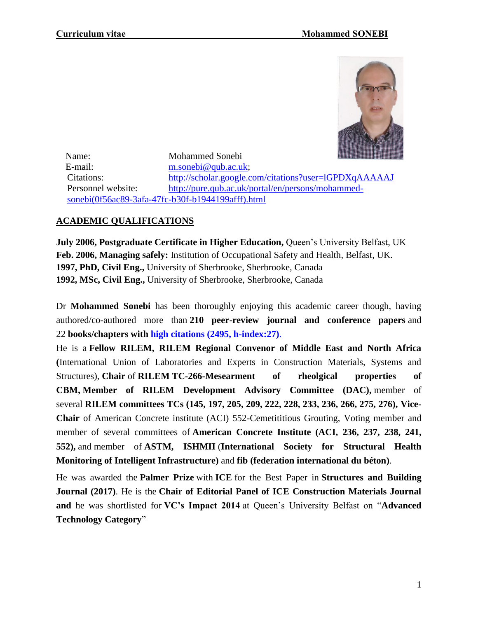

 Name: Mohammed Sonebi E-mail: [m.sonebi@qub.ac.uk;](mailto:m.sonebi@qub.ac.uk) Citations: <http://scholar.google.com/citations?user=lGPDXqAAAAAJ> Personnel website: [http://pure.qub.ac.uk/portal/en/persons/mohammed](http://pure.qub.ac.uk/portal/en/persons/mohammed-sonebi(0f56ac89-3afa-47fc-b30f-b1944199afff).html)[sonebi\(0f56ac89-3afa-47fc-b30f-b1944199afff\).html](http://pure.qub.ac.uk/portal/en/persons/mohammed-sonebi(0f56ac89-3afa-47fc-b30f-b1944199afff).html)

## **ACADEMIC QUALIFICATIONS**

**July 2006, Postgraduate Certificate in Higher Education,** Queen's University Belfast, UK **Feb. 2006, Managing safely:** Institution of Occupational Safety and Health, Belfast, UK. **1997, PhD, Civil Eng.,** University of Sherbrooke, Sherbrooke, Canada **1992, MSc, Civil Eng.,** University of Sherbrooke, Sherbrooke, Canada

Dr **Mohammed Sonebi** has been thoroughly enjoying this academic career though, having authored/co-authored more than **210 peer-review journal and conference papers** and 22 **books/chapters with high citations (2495, h-index:27)**.

He is a **Fellow RILEM, RILEM Regional Convenor of Middle East and North Africa (**International Union of Laboratories and Experts in Construction Materials, Systems and Structures), **Chair** of **RILEM TC-266-Mesearment of rheolgical properties of CBM, Member of RILEM Development Advisory Committee (DAC),** member of several **RILEM committees TCs (145, 197, 205, 209, 222, 228, 233, 236, 266, 275, 276), Vice-Chair** of American Concrete institute (ACI) 552-Cemetititious Grouting, Voting member and member of several committees of **American Concrete Institute (ACI, 236, 237, 238, 241, 552),** and member of **ASTM, ISHMII** (**International Society for Structural Health Monitoring of Intelligent Infrastructure)** and **fib (federation international du béton)**.

He was awarded the **Palmer Prize** with **ICE** for the Best Paper in **Structures and Building Journal (2017)**. He is the **Chair of Editorial Panel of ICE Construction Materials Journal and** he was shortlisted for **VC's Impact 2014** at Queen's University Belfast on "**Advanced Technology Category**"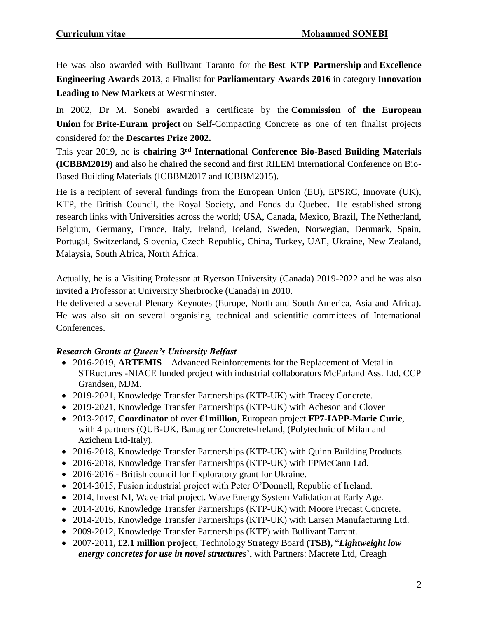He was also awarded with Bullivant Taranto for the **Best KTP Partnership** and **Excellence Engineering Awards 2013**, a Finalist for **Parliamentary Awards 2016** in category **Innovation Leading to New Markets** at Westminster.

In 2002, Dr M. Sonebi awarded a certificate by the **Commission of the European Union** for **Brite-Euram project** on Self-Compacting Concrete as one of ten finalist projects considered for the **Descartes Prize 2002.**

This year 2019, he is **chairing 3rd International Conference Bio-Based Building Materials (ICBBM2019)** and also he chaired the second and first RILEM International Conference on Bio-Based Building Materials (ICBBM2017 and ICBBM2015).

He is a recipient of several fundings from the European Union (EU), EPSRC, Innovate (UK), KTP, the British Council, the Royal Society, and Fonds du Quebec. He established strong research links with Universities across the world; USA, Canada, Mexico, Brazil, The Netherland, Belgium, Germany, France, Italy, Ireland, Iceland, Sweden, Norwegian, Denmark, Spain, Portugal, Switzerland, Slovenia, Czech Republic, China, Turkey, UAE, Ukraine, New Zealand, Malaysia, South Africa, North Africa.

Actually, he is a Visiting Professor at Ryerson University (Canada) 2019-2022 and he was also invited a Professor at University Sherbrooke (Canada) in 2010.

He delivered a several Plenary Keynotes (Europe, North and South America, Asia and Africa). He was also sit on several organising, technical and scientific committees of International Conferences.

## *Research Grants at Queen's University Belfast*

- 2016-2019, **ARTEMIS** Advanced Reinforcements for the Replacement of Metal in STRuctures -NIACE funded project with industrial collaborators McFarland Ass. Ltd, CCP Grandsen, MJM.
- 2019-2021, Knowledge Transfer Partnerships (KTP-UK) with Tracey Concrete.
- 2019-2021, Knowledge Transfer Partnerships (KTP-UK) with Acheson and Clover
- 2013-2017, **Coordinator** of over **€1million**, European project **FP7-IAPP-Marie Curie**, with 4 partners (QUB-UK, Banagher Concrete-Ireland, (Polytechnic of Milan and Azichem Ltd-Italy).
- 2016-2018, Knowledge Transfer Partnerships (KTP-UK) with Quinn Building Products.
- 2016-2018, Knowledge Transfer Partnerships (KTP-UK) with FPMcCann Ltd.
- 2016-2016 British council for Exploratory grant for Ukraine.
- 2014-2015, Fusion industrial project with Peter O'Donnell, Republic of Ireland.
- 2014, Invest NI, Wave trial project. Wave Energy System Validation at Early Age.
- 2014-2016, Knowledge Transfer Partnerships (KTP-UK) with Moore Precast Concrete.
- 2014-2015, Knowledge Transfer Partnerships (KTP-UK) with Larsen Manufacturing Ltd.
- 2009-2012, Knowledge Transfer Partnerships (KTP) with Bullivant Tarrant.
- 2007-2011**, £2.1 million project**, Technology Strategy Board **(TSB),** "*Lightweight low energy concretes for use in novel structures*', with Partners: Macrete Ltd, Creagh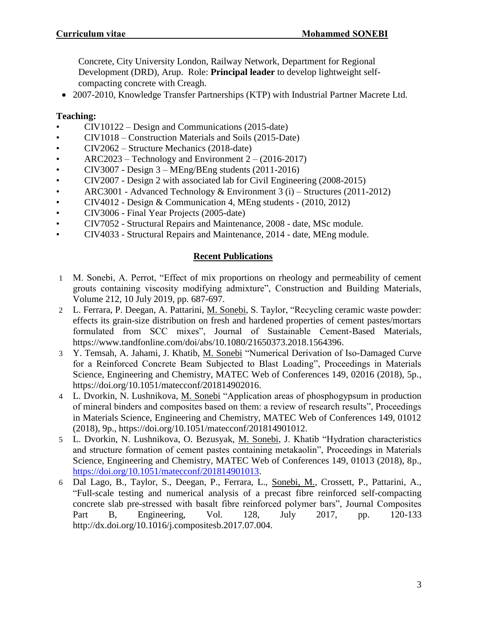Concrete, City University London, Railway Network, Department for Regional Development (DRD), Arup. Role: **Principal leader** to develop lightweight selfcompacting concrete with Creagh.

2007-2010, Knowledge Transfer Partnerships (KTP) with Industrial Partner Macrete Ltd.

## **Teaching:**

- CIV10122 Design and Communications (2015-date)
- CIV1018 Construction Materials and Soils (2015-Date)
- CIV2062 Structure Mechanics (2018-date)
- ARC2023 Technology and Environment  $2 (2016-2017)$
- CIV3007 Design  $3 \text{MEng/BEng}$  students (2011-2016)
- CIV2007 Design 2 with associated lab for Civil Engineering (2008-2015)
- ARC3001 Advanced Technology & Environment 3 (i) Structures (2011-2012)
- CIV4012 Design & Communication 4, MEng students (2010, 2012)
- CIV3006 Final Year Projects (2005-date)
- CIV7052 Structural Repairs and Maintenance, 2008 date, MSc module.
- CIV4033 Structural Repairs and Maintenance, 2014 date, MEng module.

## **Recent Publications**

- 1 M. Sonebi, A. Perrot, "Effect of mix proportions on rheology and permeability of cement grouts containing viscosity modifying admixture", Construction and Building Materials, Volume 212, 10 July 2019, pp. 687-697.
- 2 L. Ferrara, P. Deegan, A. Pattarini, M. Sonebi, S. Taylor, "Recycling ceramic waste powder: effects its grain-size distribution on fresh and hardened properties of cement pastes/mortars formulated from SCC mixes", Journal of Sustainable Cement-Based Materials, https://www.tandfonline.com/doi/abs/10.1080/21650373.2018.1564396.
- 3 Y. Temsah, A. Jahami, J. Khatib, M. Sonebi "Numerical Derivation of Iso-Damaged Curve for a Reinforced Concrete Beam Subjected to Blast Loading", Proceedings in Materials Science, Engineering and Chemistry, MATEC Web of Conferences 149, 02016 (2018), 5p., https://doi.org/10.1051/matecconf/201814902016.
- 4 L. Dvorkin, N. Lushnikova, M. Sonebi "Application areas of phosphogypsum in production of mineral binders and composites based on them: a review of research results", Proceedings in Materials Science, Engineering and Chemistry, MATEC Web of Conferences 149, 01012 (2018), 9p., https://doi.org/10.1051/matecconf/201814901012.
- 5 L. Dvorkin, N. Lushnikova, O. Bezusyak, M. Sonebi, J. Khatib "Hydration characteristics and structure formation of cement pastes containing metakaolin", Proceedings in Materials Science, Engineering and Chemistry, MATEC Web of Conferences 149, 01013 (2018), 8p., [https://doi.org/10.1051/matecconf/201814901013.](https://doi.org/10.1051/matecconf/201814901013)
- 6 Dal Lago, B., Taylor, S., Deegan, P., Ferrara, L., Sonebi, M., Crossett, P., Pattarini, A., "Full-scale testing and numerical analysis of a precast fibre reinforced self-compacting concrete slab pre-stressed with basalt fibre reinforced polymer bars", Journal Composites Part B, Engineering, Vol. 128, July 2017, pp. 120-133 http://dx.doi.org/10.1016/j.compositesb.2017.07.004.